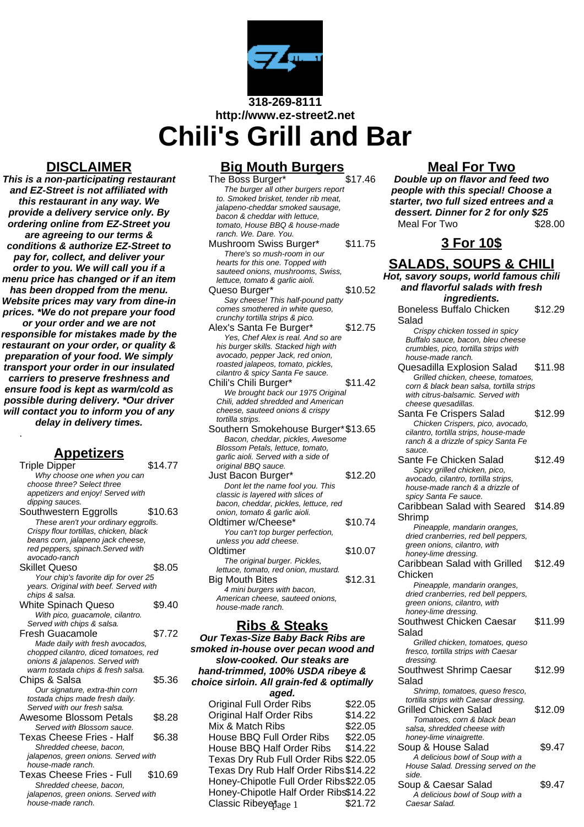

**318-269-8111 http://www.ez-street2.net Chili's Grill and Bar**

## **DISCLAIMER**

**This is a non-participating restaurant and EZ-Street is not affiliated with this restaurant in any way. We provide a delivery service only. By ordering online from EZ-Street you are agreeing to our terms & conditions & authorize EZ-Street to pay for, collect, and deliver your order to you. We will call you if a menu price has changed or if an item has been dropped from the menu. Website prices may vary from dine-in prices. \*We do not prepare your food or your order and we are not responsible for mistakes made by the restaurant on your order, or quality & preparation of your food. We simply transport your order in our insulated carriers to preserve freshness and ensure food is kept as warm/cold as possible during delivery. \*Our driver will contact you to inform you of any delay in delivery times.**

### **Appetizers**

.

| <b>Triple Dipper</b>                   | \$14.77 |
|----------------------------------------|---------|
| Why choose one when you can            |         |
| choose three? Select three             |         |
| appetizers and enjoy! Served with      |         |
| dipping sauces.                        |         |
| Southwestern Eggrolls                  | \$10.63 |
| These aren't your ordinary eggrolls.   |         |
| Crispy flour tortillas, chicken, black |         |
| beans corn, jalapeno jack cheese,      |         |
| red peppers, spinach.Served with       |         |
| avocado-ranch                          |         |
| Skillet Queso                          | \$8.05  |
| Your chip's favorite dip for over 25   |         |
| years. Original with beef. Served with |         |
| chips & salsa.                         |         |
| White Spinach Queso                    | \$9.40  |
| With pico, guacamole, cilantro.        |         |
| Served with chips & salsa.             |         |
| Fresh Guacamole                        | \$7.72  |
| Made daily with fresh avocados,        |         |
| chopped cilantro, diced tomatoes, red  |         |
| onions & jalapenos. Served with        |         |
| warm tostada chips & fresh salsa.      |         |
| Chips & Salsa                          | \$5.36  |
| Our signature, extra-thin corn         |         |
| tostada chips made fresh daily.        |         |
| Served with our fresh salsa.           |         |
| Awesome Blossom Petals                 | \$8.28  |
| Served with Blossom sauce.             |         |
| Texas Cheese Fries - Half              | \$6.38  |
| Shredded cheese, bacon,                |         |
| jalapenos, green onions. Served with   |         |
| house-made ranch.                      |         |
| <b>Texas Cheese Fries - Full</b>       | \$10.69 |
| Shredded cheese, bacon,                |         |
| jalapenos, green onions. Served with   |         |
| house-made ranch                       |         |

## **Big Mouth Burgers**

The Boss Burger\* \$17.46 The burger all other burgers report to. Smoked brisket, tender rib meat, jalapeno-cheddar smoked sausage, bacon & cheddar with lettuce, tomato, House BBQ & house-made ranch. We. Dare. You. Mushroom Swiss Burger\* \$11.75 There's so mush-room in our hearts for this one. Topped with sauteed onions, mushrooms, Swiss, lettuce, tomato & garlic aioli. Queso Burger\*  $$10.52$ Say cheese! This half-pound patty comes smothered in white queso. crunchy tortilla strips & pico. Alex's Santa Fe Burger\* \$12.75 Yes, Chef Alex is real. And so are his burger skills. Stacked high with avocado, pepper Jack, red onion, roasted jalapeos, tomato, pickles, cilantro & spicy Santa Fe sauce. Chili's Chili Burger\* \$11.42 We brought back our 1975 Original Chili, added shredded and American cheese, sauteed onions & crispy tortilla strips. Southern Smokehouse Burger\*\$13.65 Bacon, cheddar, pickles, Awesome Blossom Petals, lettuce, tomato, garlic aioli. Served with a side of original BBQ sauce. Just Bacon Burger\* \$12.20 Dont let the name fool you. This classic is layered with slices of bacon, cheddar, pickles, lettuce, red onion, tomato & garlic aioli. Oldtimer w/Cheese\* \$10.74 You can't top burger perfection, unless you add cheese. Oldtimer \$10.07 The original burger. Pickles, lettuce, tomato, red onion, mustard. Big Mouth Bites \$12.31 4 mini burgers with bacon, American cheese, sauteed onions, house-made ranch.

### **Ribs & Steaks**

**Our Texas-Size Baby Back Ribs are smoked in-house over pecan wood and slow-cooked. Our steaks are hand-trimmed, 100% USDA ribeye & choice sirloin. All grain-fed & optimally aged.** Original Full Order Ribs \$22.05 Original Half Order Ribs \$14.22 Mix & Match Ribs \$22.05 House BBQ Full Order Ribs \$22.05 House BBQ Half Order Ribs \$14.22 Texas Dry Rub Full Order Ribs \$22.05 Texas Dry Rub Half Order Ribs\$14.22 Honey-Chipotle Full Order Ribs\$22.05 Honey-Chipotle Half Order Ribs\$14.22 Classic Ribeye $\delta$ age 1  $$21.72$ 

## **Meal For Two**

**Double up on flavor and feed two people with this special! Choose a starter, two full sized entrees and a dessert. Dinner for 2 for only \$25**<br>Meal For Two \$28.00 Meal For Two

## **3 For 10\$**

#### **SALADS, SOUPS & CHILI Hot, savory soups, world famous chili and flavorful salads with fresh ingredients.** Boneless Buffalo Chicken Salad \$12.29 Crispy chicken tossed in spicy Buffalo sauce, bacon, bleu cheese crumbles, pico, tortilla strips with house-made ranch. Quesadilla Explosion Salad \$11.98 Grilled chicken, cheese, tomatoes, corn & black bean salsa, tortilla strips with citrus-balsamic. Served with cheese quesadillas. Santa Fe Crispers Salad \$12.99 Chicken Crispers, pico, avocado, cilantro, tortilla strips, house-made ranch & a drizzle of spicy Santa Fe sauce. Sante Fe Chicken Salad \$12.49 Spicy grilled chicken, pico, avocado, cilantro, tortilla strips, house-made ranch & a drizzle of spicy Santa Fe sauce. Caribbean Salad with Seared Shrimp \$14.89 Pineapple, mandarin oranges, dried cranberries, red bell peppers, green onions, cilantro, with honey-lime dressing. Caribbean Salad with Grilled Chicken \$12.49 Pineapple, mandarin oranges, dried cranberries, red bell peppers, green onions, cilantro, with honey-lime dressing. Southwest Chicken Caesar Salad \$11.99 Grilled chicken, tomatoes, queso fresco, tortilla strips with Caesar dressing. Southwest Shrimp Caesar Salad \$12.99 Shrimp, tomatoes, queso fresco, tortilla strips with Caesar dressing. Grilled Chicken Salad \$12.09 Tomatoes, corn & black bean salsa, shredded cheese with honey-lime vinaigrette. Soup & House Salad \$9.47 A delicious bowl of Soup with a House Salad. Dressing served on the side. Soup & Caesar Salad \$9.47 A delicious bowl of Soup with a

Caesar Salad.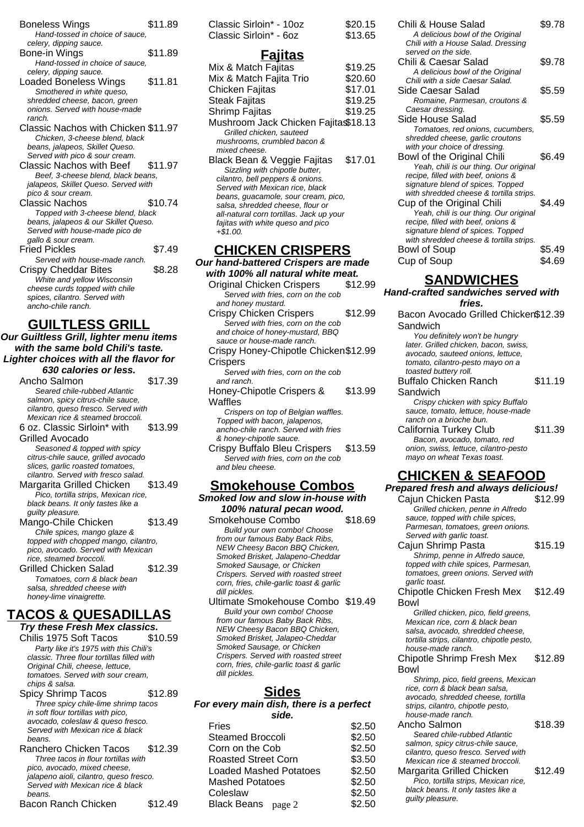| <b>Boneless Wings</b><br>Hand-tossed in choice of sauce,                                                                                                         | \$11.89 |
|------------------------------------------------------------------------------------------------------------------------------------------------------------------|---------|
| celery, dipping sauce.<br>Bone-in Wings<br>Hand-tossed in choice of sauce.                                                                                       | \$11.89 |
| celery, dipping sauce.<br><b>Loaded Boneless Wings</b><br>Smothered in white queso,<br>shredded cheese, bacon, green<br>onions. Served with house-made<br>ranch. | \$11.81 |
| Classic Nachos with Chicken \$11.97<br>Chicken, 3-cheese blend, black<br>beans, jalapeos, Skillet Queso.<br>Served with pico & sour cream.                       |         |
| Classic Nachos with Beef<br>Beef, 3-cheese blend, black beans,<br>jalapeos, Skillet Queso. Served with<br>pico & sour cream.                                     | \$11.97 |
| Classic Nachos<br>Topped with 3-cheese blend, black<br>beans, jalapeos & our Skillet Queso.<br>Served with house-made pico de<br>gallo & sour cream.             | \$10.74 |
| <b>Fried Pickles</b><br>Served with house-made ranch.                                                                                                            | \$7.49  |
| Crispy Cheddar Bites<br>White and yellow Wisconsin<br>cheese curds topped with chile<br>spices, cilantro. Served with<br>ancho-chile ranch.                      | \$8.28  |

## **GUILTLESS GRILL**

**Our Guiltless Grill, lighter menu items with the same bold Chili's taste. Lighter choices with all the flavor for 630 calories or less.**

| 030 GADILES OF 1533.                 |         |
|--------------------------------------|---------|
| Ancho Salmon                         | \$17.39 |
| Seared chile-rubbed Atlantic         |         |
| salmon, spicy citrus-chile sauce,    |         |
| cilantro, queso fresco. Served with  |         |
| Mexican rice & steamed broccoli.     |         |
| 6 oz. Classic Sirloin* with          | \$13.99 |
| Grilled Avocado                      |         |
| Seasoned & topped with spicy         |         |
| citrus-chile sauce, grilled avocado  |         |
| slices, garlic roasted tomatoes,     |         |
| cilantro. Served with fresco salad.  |         |
| Margarita Grilled Chicken            | \$13.49 |
| Pico, tortilla strips, Mexican rice, |         |
| black beans. It only tastes like a   |         |
| <i>guilty pleasure.</i>              |         |
| Mango-Chile Chicken                  | \$13.49 |
| Chile spices, mango glaze &          |         |
| topped with chopped mango, cilantro, |         |
| pico, avocado. Served with Mexican   |         |
| rice, steamed broccoli.              |         |
| Grilled Chicken Salad                | \$12.39 |
| Tomatoes, corn & black bean          |         |
| salsa, shredded cheese with          |         |
| honey-lime vinaigrette.              |         |

### **TACOS & QUESADILLAS**

**Try these Fresh Mex classics.** Chilis 1975 Soft Tacos \$10.59 Party like it's 1975 with this Chili's classic. Three flour tortillas filled with Original Chili, cheese, lettuce, tomatoes. Served with sour cream, chips & salsa. Spicy Shrimp Tacos \$12.89

Three spicy chile-lime shrimp tacos in soft flour tortillas with pico, avocado, coleslaw & queso fresco. Served with Mexican rice & black beans.

Ranchero Chicken Tacos \$12.39 Three tacos in flour tortillas with pico, avocado, mixed cheese, jalapeno aioli, cilantro, queso fresco. Served with Mexican rice & black beans. Bacon Ranch Chicken \$12.49

| Classic Sirloin* - 10oz |  |
|-------------------------|--|
| Classic Sirloin* - 6oz  |  |

 $$20.15$  $$13.65$ 

# **Fajitas**

| Mix & Match Fajitas                 | \$19.25 |
|-------------------------------------|---------|
| Mix & Match Fajita Trio             | \$20.60 |
| Chicken Fajitas                     | \$17.01 |
| Steak Fajitas                       | \$19.25 |
| Shrimp Fajitas                      | \$19.25 |
| Mushroom Jack Chicken Fajita\$18.13 |         |
| Grilled chicken, sauteed            |         |
| mushrooms, crumbled bacon &         |         |
| mixed cheese.                       |         |
| Black Bean & Veggie Fajitas         | \$17.01 |
| Sizzling with chipotle butter,      |         |
| cilantro, bell peppers & onions.    |         |
| Served with Mexican rice, black     |         |
|                                     |         |

beans, guacamole, sour cream, pico, salsa, shredded cheese, flour or all-natural corn tortillas. Jack up your fajitas with white queso and pico +\$1.00.

## **CHICKEN CRISPERS**

**Our hand-battered Crispers are made with 100% all natural white meat.**

- Original Chicken Crispers \$12.99 Served with fries, corn on the cob and honey mustard.
- Crispy Chicken Crispers \$12.99 Served with fries, corn on the cob and choice of honey-mustard, BBQ sauce or house-made ranch.
- Crispy Honey-Chipotle Chicken \$12.99 **Crispers**

Served with fries, corn on the cob and ranch.

Honey-Chipotle Crispers & **Waffles** \$13.99 Crispers on top of Belgian waffles.

Topped with bacon, jalapenos, ancho-chile ranch. Served with fries & honey-chipotle sauce.

Crispy Buffalo Bleu Crispers \$13.59 Served with fries, corn on the cob and bleu cheese.

#### **Smokehouse Combos Smoked low and slow in-house with 100% natural pecan wood.**

Smokehouse Combo \$18.69 Build your own combo! Choose from our famous Baby Back Ribs, NEW Cheesy Bacon BBQ Chicken, Smoked Brisket, Jalapeno-Cheddar Smoked Sausage, or Chicken Crispers. Served with roasted street corn, fries, chile-garlic toast & garlic dill pickles. Ultimate Smokehouse Combo \$19.49 Build your own combo! Choose from our famous Baby Back Ribs, NEW Cheesy Bacon BBQ Chicken, Smoked Brisket, Jalapeo-Cheddar Smoked Sausage, or Chicken Crispers. Served with roasted street corn, fries, chile-garlic toast & garlic dill pickles.

### **Sides**

**For every main dish, there is a perfect side.**

| Fries                         | \$2.50 |
|-------------------------------|--------|
| Steamed Broccoli              | \$2.50 |
| Corn on the Cob               | \$2.50 |
| <b>Roasted Street Corn</b>    | \$3.50 |
| <b>Loaded Mashed Potatoes</b> | \$2.50 |
| <b>Mashed Potatoes</b>        | \$2.50 |
| Coleslaw                      | \$2.50 |
| Black Beans page 2            | \$2.50 |
|                               |        |

| Chili & House Salad<br>A delicious bowl of the Original<br>Chili with a House Salad. Dressing<br>served on the side. | \$9.78 |
|----------------------------------------------------------------------------------------------------------------------|--------|
| Chili & Caesar Salad<br>A delicious bowl of the Original                                                             | \$9.78 |
| Chili with a side Caesar Salad.                                                                                      |        |
| Side Caesar Salad                                                                                                    | \$5.59 |
| Romaine, Parmesan, croutons &                                                                                        |        |
| Caesar dressing.                                                                                                     |        |
| Side House Salad                                                                                                     | \$5.59 |
| Tomatoes, red onions, cucumbers,                                                                                     |        |
| shredded cheese, garlic croutons                                                                                     |        |
| with your choice of dressing.                                                                                        |        |
| Bowl of the Original Chili                                                                                           | \$6.49 |
| Yeah, chili is our thing. Our original                                                                               |        |
| recipe, filled with beef, onions &                                                                                   |        |
| signature blend of spices. Topped                                                                                    |        |
| with shredded cheese & tortilla strips.                                                                              |        |
| Cup of the Original Chili                                                                                            | \$4.49 |
| Yeah, chili is our thing. Our original                                                                               |        |
| recipe, filled with beef, onions &                                                                                   |        |
| signature blend of spices. Topped<br>with shredded cheese & tortilla strips.                                         |        |
|                                                                                                                      |        |
| Bowl of Soup                                                                                                         | \$5.49 |
| Cup of Soup                                                                                                          | \$4.69 |

## **SANDWICHES**

## **Hand-crafted sandwiches served with**

| iand-crafted sandwiches served with<br>fries.                         |         |
|-----------------------------------------------------------------------|---------|
| Bacon Avocado Grilled Chicken\$12.39                                  |         |
| Sandwich                                                              |         |
|                                                                       |         |
| You definitely won't be hungry                                        |         |
| later. Grilled chicken, bacon, swiss,                                 |         |
| avocado, sauteed onions, lettuce,<br>tomato, cilantro-pesto mayo on a |         |
| toasted buttery roll.                                                 |         |
| <b>Buffalo Chicken Ranch</b>                                          | \$11.19 |
| Sandwich                                                              |         |
|                                                                       |         |
| Crispy chicken with spicy Buffalo                                     |         |
| sauce, tomato, lettuce, house-made<br>ranch on a brioche bun.         |         |
| California Turkey Club                                                | \$11.39 |
|                                                                       |         |
| Bacon, avocado, tomato, red<br>onion, swiss, lettuce, cilantro-pesto  |         |
| mayo on wheat Texas toast.                                            |         |
|                                                                       |         |
| <u>CHICKEN &amp; SEAFOOD</u>                                          |         |
| Prepared fresh and always delicious!                                  |         |
| Cajun Chicken Pasta                                                   | \$12.99 |
| Grilled chicken, penne in Alfredo                                     |         |
| sauce, topped with chile spices,                                      |         |
| Parmesan, tomatoes, green onions.                                     |         |
| Served with garlic toast.                                             |         |
| Cajun Shrimp Pasta                                                    | \$15.19 |
| Shrimp, penne in Alfredo sauce,                                       |         |
| topped with chile spices, Parmesan,                                   |         |
| tomatoes, green onions. Served with                                   |         |
| garlic toast.                                                         |         |
| Chipotle Chicken Fresh Mex                                            | \$12.49 |
| Bowl                                                                  |         |
| Grilled chicken, pico, field greens,                                  |         |
| Mexican rice, corn & black bean                                       |         |
| salsa, avocado, shredded cheese,                                      |         |
| tortilla strips, cilantro, chipotle pesto,                            |         |
| house-made ranch.                                                     |         |
| Chipotle Shrimp Fresh Mex                                             | \$12.89 |
| Bowl                                                                  |         |
| Shrimp, pico, field greens, Mexican                                   |         |
| rice, corn & black bean salsa,                                        |         |
| avocado, shredded cheese, tortilla                                    |         |

avocado, shredded cheese, tortilla strips, cilantro, chipotle pesto, house-made ranch. Ancho Salmon \$18.39 Seared chile-rubbed Atlantic salmon, spicy citrus-chile sauce, cilantro, queso fresco. Served with Mexican rice & steamed broccoli. Margarita Grilled Chicken \$12.49 Pico, tortilla strips, Mexican rice, black beans. It only tastes like a guilty pleasure. page 2